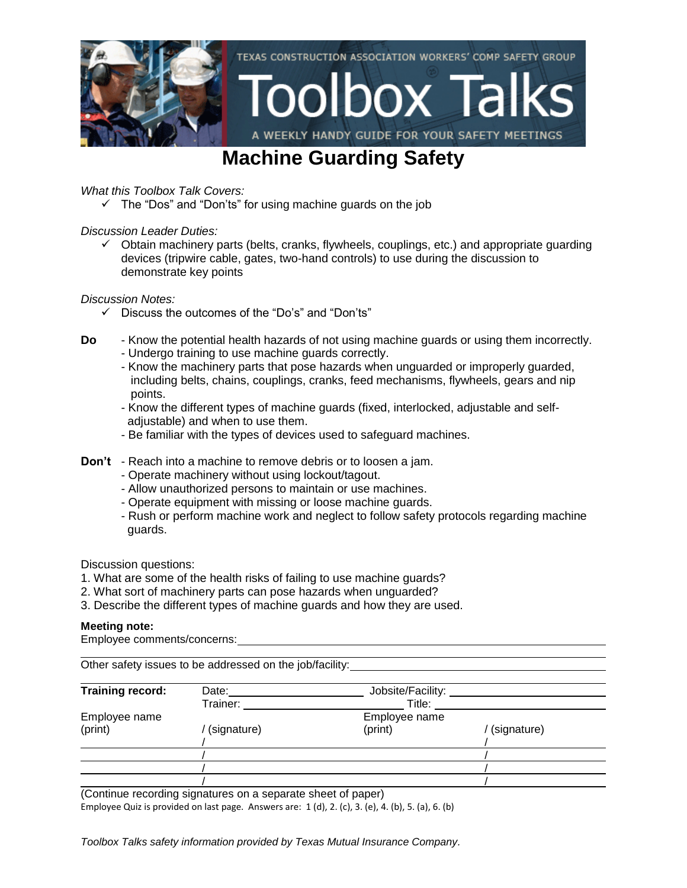

### **Machine Guarding Safety**

#### *What this Toolbox Talk Covers:*

 $\checkmark$  The "Dos" and "Don'ts" for using machine guards on the job

#### *Discussion Leader Duties:*

 $\checkmark$  Obtain machinery parts (belts, cranks, flywheels, couplings, etc.) and appropriate guarding devices (tripwire cable, gates, two-hand controls) to use during the discussion to demonstrate key points

*Discussion Notes:*

- $\checkmark$  Discuss the outcomes of the "Do's" and "Don'ts"
- **Do** Know the potential health hazards of not using machine guards or using them incorrectly.
	- Undergo training to use machine guards correctly.
	- Know the machinery parts that pose hazards when unguarded or improperly guarded, including belts, chains, couplings, cranks, feed mechanisms, flywheels, gears and nip points.
	- Know the different types of machine guards (fixed, interlocked, adjustable and self adjustable) and when to use them.
	- Be familiar with the types of devices used to safeguard machines.
- **Don't** Reach into a machine to remove debris or to loosen a jam.
	- Operate machinery without using lockout/tagout.
	- Allow unauthorized persons to maintain or use machines.
	- Operate equipment with missing or loose machine guards.
	- Rush or perform machine work and neglect to follow safety protocols regarding machine guards.

Discussion questions:

- 1. What are some of the health risks of failing to use machine guards?
- 2. What sort of machinery parts can pose hazards when unguarded?
- 3. Describe the different types of machine guards and how they are used.

#### **Meeting note:**

Employee comments/concerns:

Other safety issues to be addressed on the job/facility:

| <b>Training record:</b> | Date:       | Jobsite/Facility: |             |
|-------------------------|-------------|-------------------|-------------|
|                         | Trainer:    | Title:            |             |
| Employee name           |             | Employee name     |             |
| (print)                 | (signature) | (print)           | (signature) |
|                         |             |                   |             |
|                         |             |                   |             |
|                         |             |                   |             |
|                         |             |                   |             |

(Continue recording signatures on a separate sheet of paper)

Employee Quiz is provided on last page. Answers are: 1 (d), 2. (c), 3. (e), 4. (b), 5. (a), 6. (b)

*Toolbox Talks safety information provided by Texas Mutual Insurance Company.*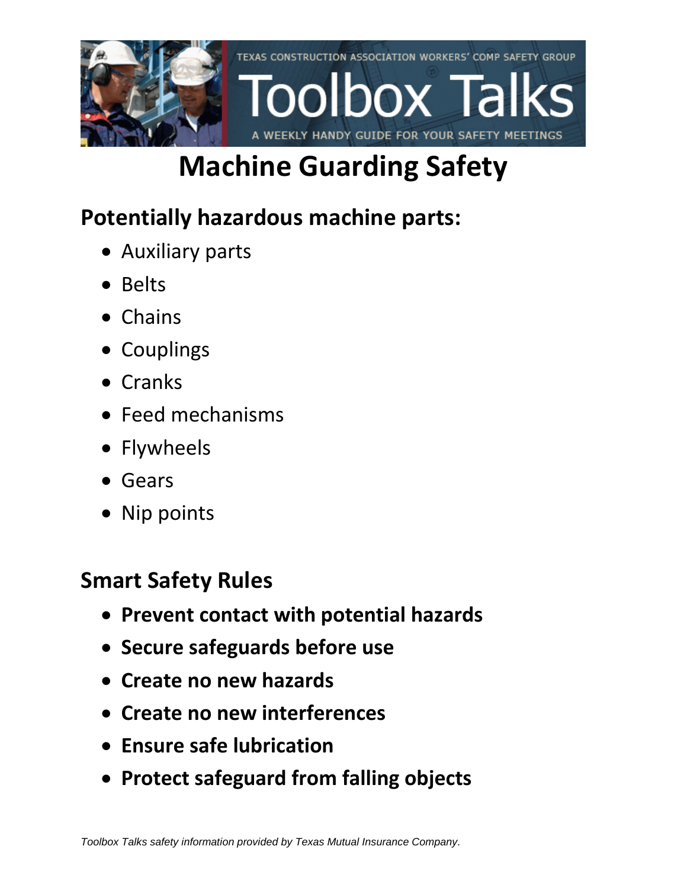

# **Machine Guarding Safety**

# **Potentially hazardous machine parts:**

- Auxiliary parts
- Belts
- Chains
- Couplings
- Cranks
- Feed mechanisms
- Flywheels
- Gears
- Nip points

### **Smart Safety Rules**

- **Prevent contact with potential hazards**
- **Secure safeguards before use**
- **Create no new hazards**
- **Create no new interferences**
- **Ensure safe lubrication**
- **Protect safeguard from falling objects**